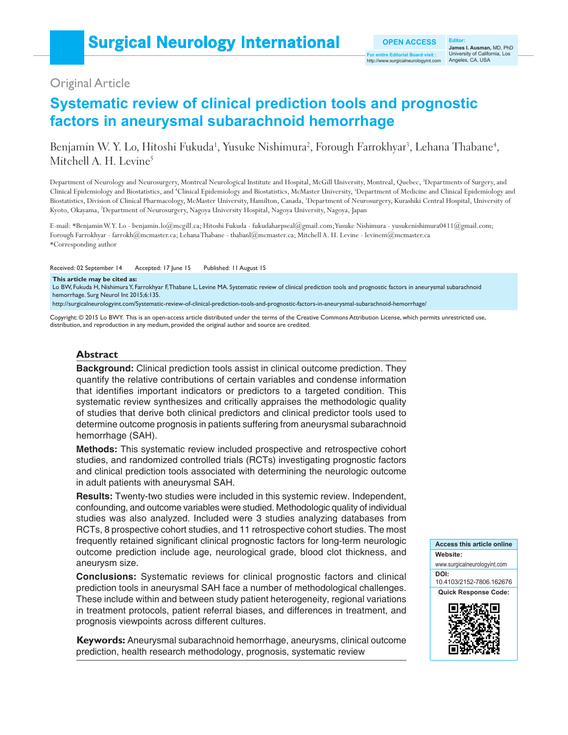# Original Article

# **Systematic review of clinical prediction tools and prognostic factors in aneurysmal subarachnoid hemorrhage**

## Benjamin W. Y. Lo, Hitoshi Fukuda<sup>1</sup>, Yusuke Nishimura<sup>2</sup>, Forough Farrokhyar<sup>3</sup>, Lehana Thabane<sup>4</sup>, Mitchell A. H. Levine<sup>5</sup>

Department of Neurology and Neurosurgery, Montreal Neurological Institute and Hospital, McGill University, Montreal, Quebec, <sup>3</sup>Departments of Surgery, and Clinical Epidemiology and Biostatistics, and <sup>4</sup>Clinical Epidemiology and Biostatistics, McMaster University, <sup>5</sup>Department of Medicine and Clinical Epidemiology and Biostatistics, Division of Clinical Pharmacology, McMaster University, Hamilton, Canada, 1 Department of Neurosurgery, Kurashiki Central Hospital, University of Kyoto, Okayama, 2 Department of Neurosurgery, Nagoya University Hospital, Nagoya University, Nagoya, Japan

E-mail: \*Benjamin W.Y. Lo - benjamin.lo@mcgill.ca; Hitoshi Fukuda - fukudaharpseal@gmail.com; Yusuke Nishimura - yusukenishimura0411@gmail.com; Forough Farrokhyar - farrokh@mcmaster.ca; Lehana Thabane - thabanl@mcmaster.ca; Mitchell A. H. Levine - levinem@mcmaster.ca \*Corresponding author

Received: 02 September 14 Accepted: 17 June 15 Published: 11 August 15

#### **This article may be cited as:**

Lo BW, Fukuda H, Nishimura Y, Farrokhyar F, Thabane L, Levine MA. Systematic review of clinical prediction tools and prognostic factors in aneurysmal subarachnoid hemorrhage. Surg Neurol Int 2015;6:135.

http://surgicalneurologyint.com/Systematic-review-of-clinical-prediction-tools-and-prognostic-factors-in-aneurysmal-subarachnoid-hemorrhage/

Copyright: © 2015 Lo BWY. This is an open-access article distributed under the terms of the Creative Commons Attribution License, which permits unrestricted use, distribution, and reproduction in any medium, provided the original author and source are credited.

#### **Abstract**

**Background:** Clinical prediction tools assist in clinical outcome prediction. They quantify the relative contributions of certain variables and condense information that identifies important indicators or predictors to a targeted condition. This systematic review synthesizes and critically appraises the methodologic quality of studies that derive both clinical predictors and clinical predictor tools used to determine outcome prognosis in patients suffering from aneurysmal subarachnoid hemorrhage (SAH).

**Methods:** This systematic review included prospective and retrospective cohort studies, and randomized controlled trials (RCTs) investigating prognostic factors and clinical prediction tools associated with determining the neurologic outcome in adult patients with aneurysmal SAH.

**Results:** Twenty-two studies were included in this systemic review. Independent, confounding, and outcome variables were studied. Methodologic quality of individual studies was also analyzed. Included were 3 studies analyzing databases from RCTs, 8 prospective cohort studies, and 11 retrospective cohort studies. The most frequently retained significant clinical prognostic factors for long-term neurologic outcome prediction include age, neurological grade, blood clot thickness, and aneurysm size.

**Conclusions:** Systematic reviews for clinical prognostic factors and clinical prediction tools in aneurysmal SAH face a number of methodological challenges. These include within and between study patient heterogeneity, regional variations in treatment protocols, patient referral biases, and differences in treatment, and prognosis viewpoints across different cultures.

**Keywords:** Aneurysmal subarachnoid hemorrhage, aneurysms, clinical outcome prediction, health research methodology, prognosis, systematic review

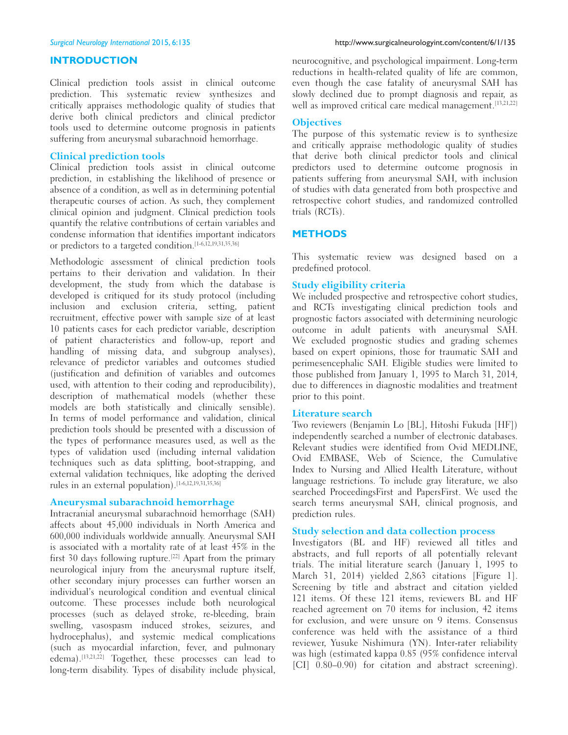#### **INTRODUCTION**

Clinical prediction tools assist in clinical outcome prediction. This systematic review synthesizes and critically appraises methodologic quality of studies that derive both clinical predictors and clinical predictor tools used to determine outcome prognosis in patients suffering from aneurysmal subarachnoid hemorrhage.

#### **Clinical prediction tools**

Clinical prediction tools assist in clinical outcome prediction, in establishing the likelihood of presence or absence of a condition, as well as in determining potential therapeutic courses of action. As such, they complement clinical opinion and judgment. Clinical prediction tools quantify the relative contributions of certain variables and condense information that identifies important indicators or predictors to a targeted condition.<sup>[1-6,12,19,31,35,36]</sup>

Methodologic assessment of clinical prediction tools pertains to their derivation and validation. In their development, the study from which the database is developed is critiqued for its study protocol (including inclusion and exclusion criteria, setting, patient recruitment, effective power with sample size of at least 10 patients cases for each predictor variable, description of patient characteristics and follow‑up, report and handling of missing data, and subgroup analyses), relevance of predictor variables and outcomes studied (justification and definition of variables and outcomes used, with attention to their coding and reproducibility), description of mathematical models (whether these models are both statistically and clinically sensible). In terms of model performance and validation, clinical prediction tools should be presented with a discussion of the types of performance measures used, as well as the types of validation used (including internal validation techniques such as data splitting, boot‑strapping, and external validation techniques, like adopting the derived rules in an external population).<sup>[1-6,12,19,31,35,36]</sup>

#### **Aneurysmal subarachnoid hemorrhage**

Intracranial aneurysmal subarachnoid hemorrhage (SAH) affects about 45,000 individuals in North America and 600,000 individuals worldwide annually. Aneurysmal SAH is associated with a mortality rate of at least 45% in the first 30 days following rupture.<sup>[22]</sup> Apart from the primary neurological injury from the aneurysmal rupture itself, other secondary injury processes can further worsen an individual's neurological condition and eventual clinical outcome. These processes include both neurological processes (such as delayed stroke, re‑bleeding, brain swelling, vasospasm induced strokes, seizures, and hydrocephalus), and systemic medical complications (such as myocardial infarction, fever, and pulmonary edema).<sup>[13,21,22]</sup> Together, these processes can lead to long-term disability. Types of disability include physical,

neurocognitive, and psychological impairment. Long-term reductions in health-related quality of life are common, even though the case fatality of aneurysmal SAH has slowly declined due to prompt diagnosis and repair, as well as improved critical care medical management.<sup>[13,21,22]</sup>

#### **Objectives**

The purpose of this systematic review is to synthesize and critically appraise methodologic quality of studies that derive both clinical predictor tools and clinical predictors used to determine outcome prognosis in patients suffering from aneurysmal SAH, with inclusion of studies with data generated from both prospective and retrospective cohort studies, and randomized controlled trials (RCTs).

#### **METHODS**

This systematic review was designed based on a predefined protocol.

#### **Study eligibility criteria**

We included prospective and retrospective cohort studies, and RCTs investigating clinical prediction tools and prognostic factors associated with determining neurologic outcome in adult patients with aneurysmal SAH. We excluded prognostic studies and grading schemes based on expert opinions, those for traumatic SAH and perimesencephalic SAH. Eligible studies were limited to those published from January 1, 1995 to March 31, 2014, due to differences in diagnostic modalities and treatment prior to this point.

#### **Literature search**

Two reviewers (Benjamin Lo [BL], Hitoshi Fukuda [HF]) independently searched a number of electronic databases. Relevant studies were identified from Ovid MEDLINE, Ovid EMBASE, Web of Science, the Cumulative Index to Nursing and Allied Health Literature, without language restrictions. To include gray literature, we also searched ProceedingsFirst and PapersFirst. We used the search terms aneurysmal SAH, clinical prognosis, and prediction rules.

#### **Study selection and data collection process**

Investigators (BL and HF) reviewed all titles and abstracts, and full reports of all potentially relevant trials. The initial literature search (January 1, 1995 to March 31, 2014) yielded 2,863 citations [Figure 1]. Screening by title and abstract and citation yielded 121 items. Of these 121 items, reviewers BL and HF reached agreement on 70 items for inclusion, 42 items for exclusion, and were unsure on 9 items. Consensus conference was held with the assistance of a third reviewer, Yusuke Nishimura (YN). Inter-rater reliability was high (estimated kappa 0.85 (95% confidence interval [CI]  $0.80-0.90$ ) for citation and abstract screening).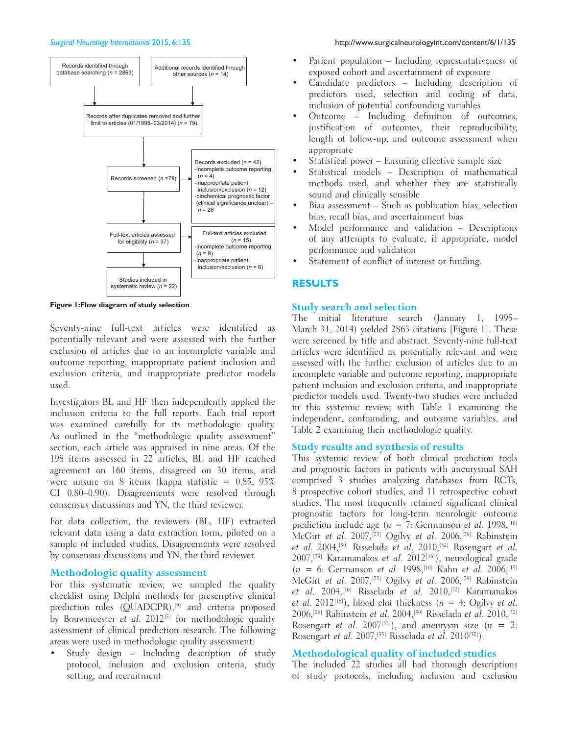



**Figure 1:Flow diagram of study selection**

Seventy-nine full-text articles were identified as potentially relevant and were assessed with the further exclusion of articles due to an incomplete variable and outcome reporting, inappropriate patient inclusion and exclusion criteria, and inappropriate predictor models used.

Investigators BL and HF then independently applied the inclusion criteria to the full reports. Each trial report was examined carefully for its methodologic quality. As outlined in the "methodologic quality assessment" section, each article was appraised in nine areas. Of the 198 items assessed in 22 articles, BL and HF reached agreement on 160 items, disagreed on 30 items, and were unsure on 8 items (kappa statistic =  $0.85$ ,  $95\%$ CI 0.80–0.90). Disagreements were resolved through consensus discussions and YN, the third reviewer.

For data collection, the reviewers (BL, HF) extracted relevant data using a data extraction form, piloted on a sample of included studies. Disagreements were resolved by consensus discussions and YN, the third reviewer.

#### **Methodologic quality assessment**

For this systematic review, we sampled the quality checklist using Delphi methods for prescriptive clinical prediction rules (QUADCPR),<sup>[9]</sup> and criteria proposed by Bouwmeester et al. 2012<sup>[5]</sup> for methodologic quality assessment of clinical prediction research. The following areas were used in methodologic quality assessment:

Study design - Including description of study protocol, inclusion and exclusion criteria, study setting, and recruitment

- Patient population Including representativeness of exposed cohort and ascertainment of exposure
- Candidate predictors Including description of predictors used, selection and coding of data, inclusion of potential confounding variables
- Outcome Including definition of outcomes, justification of outcomes, their reproducibility, length of follow‑up, and outcome assessment when appropriate
- Statistical power Ensuring effective sample size
- Statistical models Description of mathematical methods used, and whether they are statistically sound and clinically sensible
- Bias assessment Such as publication bias, selection bias, recall bias, and ascertainment bias
- Model performance and validation Descriptions of any attempts to evaluate, if appropriate, model performance and validation
- Statement of conflict of interest or funding.

### **RESULTS**

#### **Study search and selection**

The initial literature search (January 1, 1995– March 31, 2014) yielded 2863 citations [Figure 1]. These were screened by title and abstract. Seventy-nine full-text articles were identified as potentially relevant and were assessed with the further exclusion of articles due to an incomplete variable and outcome reporting, inappropriate patient inclusion and exclusion criteria, and inappropriate predictor models used. Twenty‑two studies were included in this systemic review, with Table 1 examining the independent, confounding, and outcome variables, and Table 2 examining their methodologic quality.

#### **Study results and synthesis of results**

This systemic review of both clinical prediction tools and prognostic factors in patients with aneurysmal SAH comprised 3 studies analyzing databases from RCTs, 8 prospective cohort studies, and 11 retrospective cohort studies. The most frequently retained significant clinical prognostic factors for long‑term neurologic outcome prediction include age ( $n = 7$ : Germanson et al. 1998,<sup>[10]</sup> McGirt et al. 2007,[23] Ogilvy et al. 2006,[28] Rabinstein et al. 2004,<sup>[30]</sup> Risselada et al. 2010,<sup>[32]</sup> Rosengart et al. 2007,[33] Karamanakos et al. 2012[16]), neurological grade  $(n = 6:$  Germanson et al. 1998,<sup>[10]</sup> Kahn et al. 2006,<sup>[15]</sup> McGirt et al. 2007,[23] Ogilvy et al. 2006,[28] Rabinstein et al. 2004,<sup>[30]</sup> Risselada et al. 2010,<sup>[32]</sup> Karamanakos et al. 2012<sup>[16]</sup>), blood clot thickness ( $n = 4$ : Ogilvy et al. 2006,<sup>[28]</sup> Rabinstein et al. 2004,<sup>[30]</sup> Risselada et al. 2010,<sup>[32]</sup> Rosengart et al. 2007<sup>[33]</sup>), and aneurysm size  $(n = 2)$ : Rosengart et al. 2007,<sup>[33]</sup> Risselada et al. 2010<sup>[32]</sup>).

#### **Methodological quality of included studies**

The included 22 studies all had thorough descriptions of study protocols, including inclusion and exclusion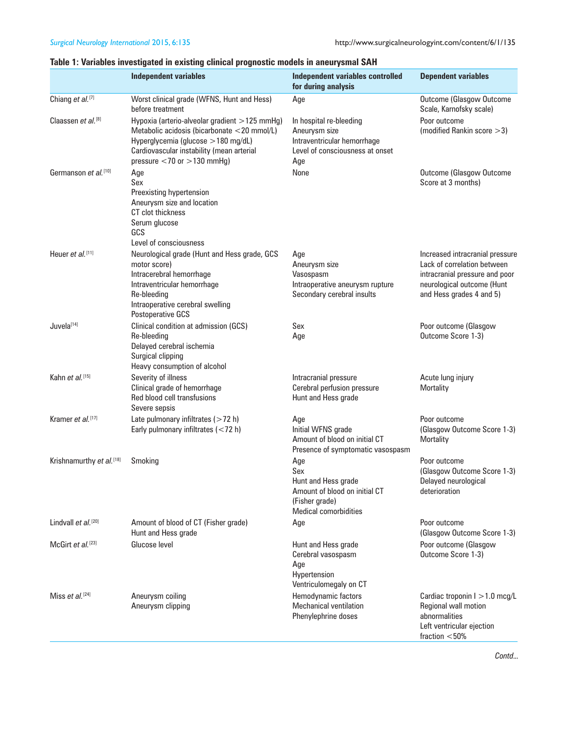### **Table 1: Variables investigated in existing clinical prognostic models in aneurysmal SAH**

|                                      | <b>Independent variables</b>                                                                                                                                                                                           | Independent variables controlled<br>for during analysis                                                              | <b>Dependent variables</b>                                                                                                                                 |
|--------------------------------------|------------------------------------------------------------------------------------------------------------------------------------------------------------------------------------------------------------------------|----------------------------------------------------------------------------------------------------------------------|------------------------------------------------------------------------------------------------------------------------------------------------------------|
| Chiang et al. <sup>[7]</sup>         | Worst clinical grade (WFNS, Hunt and Hess)<br>before treatment                                                                                                                                                         | Age                                                                                                                  | <b>Outcome (Glasgow Outcome</b><br>Scale, Karnofsky scale)                                                                                                 |
| Claassen et al. <sup>[8]</sup>       | Hypoxia (arterio-alveolar gradient $>125$ mmHg)<br>Metabolic acidosis (bicarbonate <20 mmol/L)<br>Hyperglycemia (glucose > 180 mg/dL)<br>Cardiovascular instability (mean arterial<br>pressure $<$ 70 or $>$ 130 mmHg) | In hospital re-bleeding<br>Aneurysm size<br>Intraventricular hemorrhage<br>Level of consciousness at onset<br>Age    | Poor outcome<br>(modified Rankin score $>$ 3)                                                                                                              |
| Germanson et al. [10]                | Age<br>Sex<br>Preexisting hypertension<br>Aneurysm size and location<br>CT clot thickness<br>Serum glucose<br>GCS<br>Level of consciousness                                                                            | None                                                                                                                 | <b>Outcome (Glasgow Outcome</b><br>Score at 3 months)                                                                                                      |
| Heuer et al. <sup>[11]</sup>         | Neurological grade (Hunt and Hess grade, GCS<br>motor score)<br>Intracerebral hemorrhage<br>Intraventricular hemorrhage<br>Re-bleeding<br>Intraoperative cerebral swelling<br>Postoperative GCS                        | Age<br>Aneurysm size<br>Vasospasm<br>Intraoperative aneurysm rupture<br>Secondary cerebral insults                   | Increased intracranial pressure<br>Lack of correlation between<br>intracranial pressure and poor<br>neurological outcome (Hunt<br>and Hess grades 4 and 5) |
| Juvela[14]                           | Clinical condition at admission (GCS)<br>Re-bleeding<br>Delayed cerebral ischemia<br>Surgical clipping<br>Heavy consumption of alcohol                                                                                 | Sex<br>Age                                                                                                           | Poor outcome (Glasgow<br>Outcome Score 1-3)                                                                                                                |
| Kahn et al. <sup>[15]</sup>          | Severity of illness<br>Clinical grade of hemorrhage<br>Red blood cell transfusions<br>Severe sepsis                                                                                                                    | Intracranial pressure<br>Cerebral perfusion pressure<br>Hunt and Hess grade                                          | Acute lung injury<br>Mortality                                                                                                                             |
| Kramer et al. <sup>[17]</sup>        | Late pulmonary infiltrates $($ > 72 h)<br>Early pulmonary infiltrates (<72 h)                                                                                                                                          | Age<br>Initial WFNS grade<br>Amount of blood on initial CT<br>Presence of symptomatic vasospasm                      | Poor outcome<br>(Glasgow Outcome Score 1-3)<br>Mortality                                                                                                   |
| Krishnamurthy et al. <sup>[18]</sup> | Smoking                                                                                                                                                                                                                | Age<br>Sex<br>Hunt and Hess grade<br>Amount of blood on initial CT<br>(Fisher grade)<br><b>Medical comorbidities</b> | Poor outcome<br>(Glasgow Outcome Score 1-3)<br>Delayed neurological<br>deterioration                                                                       |
| Lindvall et al. <sup>[20]</sup>      | Amount of blood of CT (Fisher grade)<br>Hunt and Hess grade                                                                                                                                                            | Age                                                                                                                  | Poor outcome<br>(Glasgow Outcome Score 1-3)                                                                                                                |
| McGirt et al. <sup>[23]</sup>        | Glucose level                                                                                                                                                                                                          | Hunt and Hess grade<br>Cerebral vasospasm<br>Age<br>Hypertension<br>Ventriculomegaly on CT                           | Poor outcome (Glasgow<br>Outcome Score 1-3)                                                                                                                |
| Miss et al. $[24]$                   | Aneurysm coiling<br>Aneurysm clipping                                                                                                                                                                                  | Hemodynamic factors<br><b>Mechanical ventilation</b><br>Phenylephrine doses                                          | Cardiac troponin I > 1.0 mcg/L<br>Regional wall motion<br>abnormalities<br>Left ventricular ejection<br>fraction $<$ 50%                                   |

*Contd...*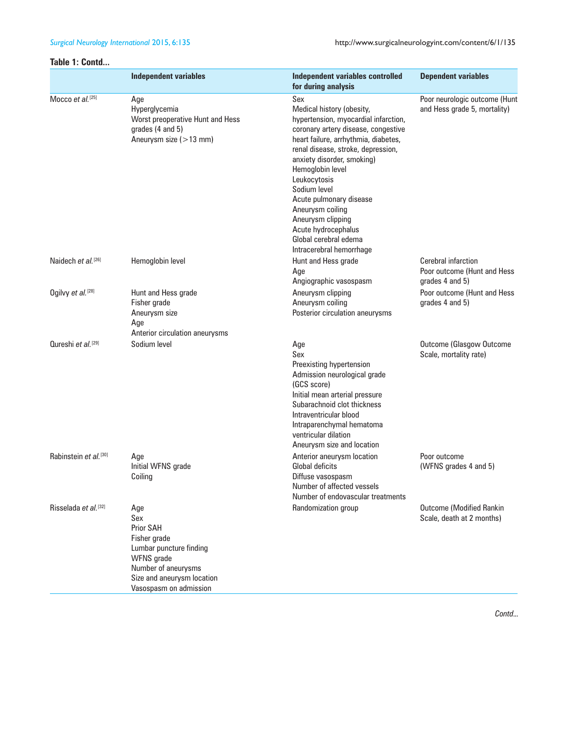#### **Table 1: Contd...**

|                                   | <b>Independent variables</b>                                                                                                                                                  | <b>Independent variables controlled</b><br>for during analysis                                                                                                                                                                                                                                                                                                                                                                  | <b>Dependent variables</b>                                            |  |  |
|-----------------------------------|-------------------------------------------------------------------------------------------------------------------------------------------------------------------------------|---------------------------------------------------------------------------------------------------------------------------------------------------------------------------------------------------------------------------------------------------------------------------------------------------------------------------------------------------------------------------------------------------------------------------------|-----------------------------------------------------------------------|--|--|
| Mocco et al. <sup>[25]</sup>      | Age<br>Hyperglycemia<br>Worst preoperative Hunt and Hess<br>grades (4 and 5)<br>Aneurysm size $(>13$ mm)                                                                      | Sex<br>Medical history (obesity,<br>hypertension, myocardial infarction,<br>coronary artery disease, congestive<br>heart failure, arrhythmia, diabetes,<br>renal disease, stroke, depression,<br>anxiety disorder, smoking)<br>Hemoglobin level<br>Leukocytosis<br>Sodium level<br>Acute pulmonary disease<br>Aneurysm coiling<br>Aneurysm clipping<br>Acute hydrocephalus<br>Global cerebral edema<br>Intracerebral hemorrhage | Poor neurologic outcome (Hunt<br>and Hess grade 5, mortality)         |  |  |
| Naidech et al. <sup>[26]</sup>    | Hemoglobin level                                                                                                                                                              | Hunt and Hess grade<br>Age<br>Angiographic vasospasm                                                                                                                                                                                                                                                                                                                                                                            | Cerebral infarction<br>Poor outcome (Hunt and Hess<br>grades 4 and 5) |  |  |
| Ogilvy et al. <sup>[28]</sup>     | Hunt and Hess grade<br>Fisher grade<br>Aneurysm size<br>Age<br>Anterior circulation aneurysms                                                                                 | Aneurysm clipping<br>Aneurysm coiling<br>Posterior circulation aneurysms                                                                                                                                                                                                                                                                                                                                                        | Poor outcome (Hunt and Hess<br>grades 4 and 5)                        |  |  |
| Qureshi et al. <sup>[29]</sup>    | Sodium level                                                                                                                                                                  | Age<br>Sex<br>Preexisting hypertension<br>Admission neurological grade<br>(GCS score)<br>Initial mean arterial pressure<br>Subarachnoid clot thickness<br>Intraventricular blood<br>Intraparenchymal hematoma<br>ventricular dilation<br>Aneurysm size and location                                                                                                                                                             | <b>Outcome (Glasgow Outcome</b><br>Scale, mortality rate)             |  |  |
| Rabinstein et al. <sup>[30]</sup> | Age<br>Initial WFNS grade<br>Coiling                                                                                                                                          | Anterior aneurysm location<br><b>Global deficits</b><br>Diffuse vasospasm<br>Number of affected vessels<br>Number of endovascular treatments                                                                                                                                                                                                                                                                                    | Poor outcome<br>(WFNS grades 4 and 5)                                 |  |  |
| Risselada et al. <sup>[32]</sup>  | Age<br>Sex<br><b>Prior SAH</b><br>Fisher grade<br>Lumbar puncture finding<br><b>WFNS</b> grade<br>Number of aneurysms<br>Size and aneurysm location<br>Vasospasm on admission | Randomization group                                                                                                                                                                                                                                                                                                                                                                                                             | <b>Outcome (Modified Rankin</b><br>Scale, death at 2 months)          |  |  |

*Contd...*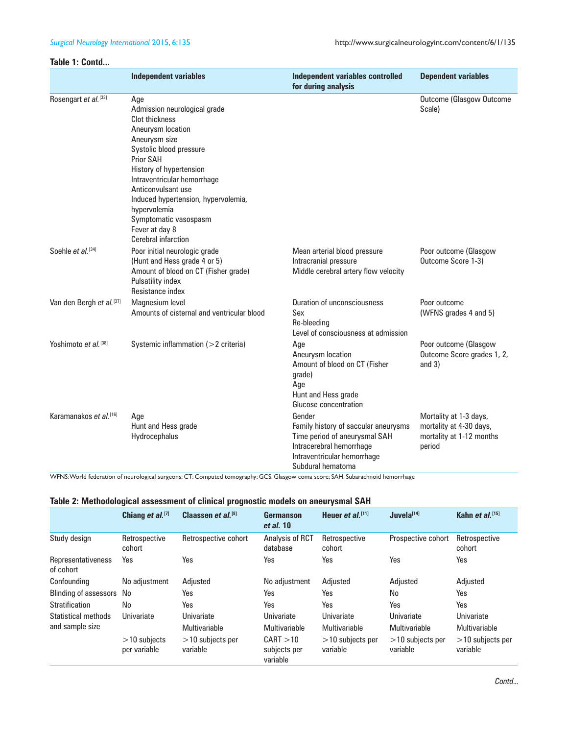#### **Table 1: Contd...**

|                                      | <b>Independent variables</b>                                                                                                                                                                                                                                                                                                                        | <b>Independent variables controlled</b><br>for during analysis                                                                                                  | <b>Dependent variables</b>                                                              |  |  |
|--------------------------------------|-----------------------------------------------------------------------------------------------------------------------------------------------------------------------------------------------------------------------------------------------------------------------------------------------------------------------------------------------------|-----------------------------------------------------------------------------------------------------------------------------------------------------------------|-----------------------------------------------------------------------------------------|--|--|
| Rosengart et al. [33]                | Age<br>Admission neurological grade<br><b>Clot thickness</b><br>Aneurysm location<br>Aneurysm size<br>Systolic blood pressure<br>Prior SAH<br>History of hypertension<br>Intraventricular hemorrhage<br>Anticonvulsant use<br>Induced hypertension, hypervolemia,<br>hypervolemia<br>Symptomatic vasospasm<br>Fever at day 8<br>Cerebral infarction |                                                                                                                                                                 | <b>Outcome (Glasgow Outcome</b><br>Scale)                                               |  |  |
| Soehle et al. <sup>[34]</sup>        | Poor initial neurologic grade<br>(Hunt and Hess grade 4 or 5)<br>Amount of blood on CT (Fisher grade)<br>Pulsatility index<br>Resistance index                                                                                                                                                                                                      | Mean arterial blood pressure<br>Intracranial pressure<br>Middle cerebral artery flow velocity                                                                   | Poor outcome (Glasgow<br>Outcome Score 1-3)                                             |  |  |
| Van den Bergh et al. <sup>[37]</sup> | Magnesium level<br>Amounts of cisternal and ventricular blood                                                                                                                                                                                                                                                                                       | Duration of unconsciousness<br>Sex<br>Re-bleeding<br>Level of consciousness at admission                                                                        | Poor outcome<br>(WFNS grades 4 and 5)                                                   |  |  |
| Yoshimoto et al. <sup>[38]</sup>     | Systemic inflammation (>2 criteria)                                                                                                                                                                                                                                                                                                                 | Age<br>Aneurysm location<br>Amount of blood on CT (Fisher<br>grade)<br>Age<br>Hunt and Hess grade<br>Glucose concentration                                      | Poor outcome (Glasgow<br>Outcome Score grades 1, 2,<br>and $3)$                         |  |  |
| Karamanakos et al. [16]              | Age<br>Hunt and Hess grade<br>Hydrocephalus                                                                                                                                                                                                                                                                                                         | Gender<br>Family history of saccular aneurysms<br>Time period of aneurysmal SAH<br>Intracerebral hemorrhage<br>Intraventricular hemorrhage<br>Subdural hematoma | Mortality at 1-3 days,<br>mortality at 4-30 days,<br>mortality at 1-12 months<br>period |  |  |

WFNS: World federation of neurological surgeons; CT: Computed tomography; GCS: Glasgow coma score; SAH: Subarachnoid hemorrhage

#### **Table 2: Methodological assessment of clinical prognostic models on aneurysmal SAH**

|                                 | Chiang et $al$ . [7]           | Claassen et al. <sup>[8]</sup> | Germanson<br>et al. 10                | Heuer et al. $[11]$            | Juvela <sup>[14]</sup>         | Kahn et $al$ . [15]            |
|---------------------------------|--------------------------------|--------------------------------|---------------------------------------|--------------------------------|--------------------------------|--------------------------------|
| Study design                    | Retrospective<br>cohort        | Retrospective cohort           | Analysis of RCT<br>database           | Retrospective<br>cohort        | Prospective cohort             | Retrospective<br>cohort        |
| Representativeness<br>of cohort | Yes                            | Yes                            | Yes                                   | Yes                            | Yes                            | Yes                            |
| Confounding                     | No adjustment                  | Adjusted                       | No adjustment                         | Adiusted                       | Adjusted                       | Adjusted                       |
| <b>Blinding of assessors</b>    | No                             | Yes                            | Yes                                   | Yes                            | No                             | Yes                            |
| Stratification                  | No                             | Yes                            | Yes                                   | Yes                            | Yes                            | Yes                            |
| Statistical methods             | Univariate                     | Univariate                     | Univariate                            | Univariate                     | Univariate                     | Univariate                     |
| and sample size                 |                                | Multivariable                  | <b>Multivariable</b>                  | Multivariable                  | Multivariable                  | Multivariable                  |
|                                 | $>10$ subjects<br>per variable | $>10$ subjects per<br>variable | CART > 10<br>subjects per<br>variable | $>10$ subjects per<br>variable | $>10$ subjects per<br>variable | $>10$ subjects per<br>variable |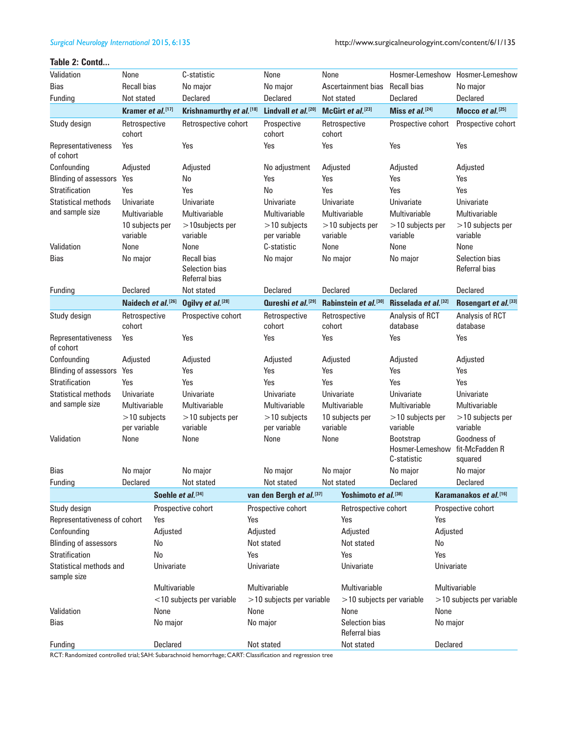#### **Table 2: Contd...**

| Validation                                     | None                           |                    | C-statistic                                           |      | None                           | None     |                                 |                                 |                | Hosmer-Lemeshow Hosmer-Lemeshow                          |
|------------------------------------------------|--------------------------------|--------------------|-------------------------------------------------------|------|--------------------------------|----------|---------------------------------|---------------------------------|----------------|----------------------------------------------------------|
| <b>Bias</b>                                    | <b>Recall bias</b>             |                    | No major                                              |      | No major                       |          | Ascertainment bias              | <b>Recall bias</b>              |                | No major                                                 |
| Funding                                        | Not stated                     |                    | Declared                                              |      | <b>Declared</b>                |          | Not stated                      | <b>Declared</b>                 |                | Declared                                                 |
|                                                | Kramer et al. <sup>[17]</sup>  |                    | Krishnamurthy et al. [18]                             |      | Lindvall et al.[20]            |          | McGirt et al. <sup>[23]</sup>   | Miss et al. <sup>[24]</sup>     |                | Mocco et al. $[25]$                                      |
| Study design                                   | Retrospective<br>cohort        |                    | Retrospective cohort                                  |      | Prospective<br>cohort          | cohort   | Retrospective                   | Prospective cohort              |                | Prospective cohort                                       |
| Representativeness<br>of cohort                | Yes                            |                    | Yes                                                   |      | Yes                            | Yes      |                                 | Yes                             |                | Yes                                                      |
| Confounding                                    | Adjusted                       |                    | Adjusted                                              |      | No adjustment                  | Adjusted |                                 | Adjusted                        |                | Adjusted                                                 |
| <b>Blinding of assessors</b>                   | Yes                            |                    | No                                                    |      | Yes                            | Yes      |                                 | Yes                             |                | Yes                                                      |
| Stratification                                 | Yes                            |                    | Yes                                                   |      | No                             | Yes      |                                 | Yes                             |                | Yes                                                      |
| <b>Statistical methods</b>                     | Univariate                     |                    | Univariate                                            |      | Univariate                     |          | Univariate                      | Univariate                      |                | Univariate                                               |
| and sample size                                | Multivariable                  |                    | Multivariable                                         |      | <b>Multivariable</b>           |          | Multivariable                   | <b>Multivariable</b>            |                | <b>Multivariable</b>                                     |
|                                                | 10 subjects per<br>variable    |                    | $>10$ subjects per<br>variable                        |      | $>10$ subjects<br>per variable | variable | $>10$ subjects per              | $>10$ subjects per<br>variable  |                | $>10$ subjects per<br>variable                           |
| Validation                                     | None                           |                    | None                                                  |      | C-statistic                    | None     |                                 | None                            |                | None                                                     |
| Bias                                           | No major                       |                    | <b>Recall bias</b><br>Selection bias<br>Referral bias |      | No major                       | No major |                                 | No major                        |                | Selection bias<br>Referral bias                          |
| Funding                                        | <b>Declared</b>                |                    | Not stated                                            |      | <b>Declared</b>                | Declared |                                 | <b>Declared</b>                 |                | <b>Declared</b>                                          |
|                                                | Naidech et al. <sup>[26]</sup> |                    | Ogilvy et al. [28]                                    |      | Qureshi et al. <sup>[29]</sup> |          | Rabinstein et al.[30]           | Risselada et al.[32]            |                | Rosengart et al.[33]                                     |
| Study design                                   | Retrospective<br>cohort        |                    | Prospective cohort                                    |      | Retrospective<br>cohort        | cohort   | Retrospective                   | Analysis of RCT<br>database     |                | Analysis of RCT<br>database                              |
| Representativeness<br>of cohort                | Yes                            |                    | Yes                                                   |      | Yes                            | Yes      |                                 | Yes                             |                | Yes                                                      |
| Confounding                                    | Adjusted                       |                    | Adjusted                                              |      | Adjusted                       | Adjusted |                                 | Adjusted                        |                | Adjusted                                                 |
| <b>Blinding of assessors</b>                   | Yes                            |                    | Yes                                                   |      | Yes                            | Yes      |                                 | Yes                             |                | Yes                                                      |
| Stratification                                 | Yes                            |                    | Yes                                                   |      | Yes                            | Yes      |                                 | Yes                             |                | Yes                                                      |
| <b>Statistical methods</b>                     | Univariate                     |                    | Univariate                                            |      | Univariate                     |          | Univariate                      | Univariate                      |                | Univariate                                               |
| and sample size                                | Multivariable                  |                    | Multivariable                                         |      | Multivariable                  |          | Multivariable                   | Multivariable                   |                | Multivariable                                            |
|                                                | $>10$ subjects<br>per variable |                    | $>10$ subjects per<br>variable                        |      | $>10$ subjects<br>per variable | variable | 10 subjects per                 | $>10$ subjects per<br>variable  |                | $>10$ subjects per<br>variable                           |
| Validation                                     | None                           |                    | None                                                  |      | None                           | None     |                                 | <b>Bootstrap</b><br>C-statistic |                | Goodness of<br>Hosmer-Lemeshow fit-McFadden R<br>squared |
| <b>Bias</b>                                    |                                |                    |                                                       |      |                                |          |                                 |                                 |                |                                                          |
| Funding                                        | No major<br>Declared           |                    | No major<br>Not stated                                |      | No major<br>Not stated         | No major | Not stated                      | No major<br>Declared            |                | No major<br>Declared                                     |
|                                                |                                | Soehle et al. [34] |                                                       |      | van den Bergh et al.[37]       |          | Yoshimoto et al. [38]           |                                 |                | Karamanakos et al. [16]                                  |
|                                                |                                |                    | Prospective cohort                                    |      | Prospective cohort             |          | Retrospective cohort            |                                 |                | Prospective cohort                                       |
| Study design<br>Representativeness of cohort   |                                | Yes                |                                                       | Yes  |                                |          | Yes                             |                                 | Yes            |                                                          |
| Confounding                                    |                                |                    |                                                       |      |                                |          |                                 |                                 |                |                                                          |
|                                                |                                | Adjusted<br>No     |                                                       |      | Adjusted<br>Not stated         |          | Adjusted<br>Not stated          |                                 | Adjusted<br>No |                                                          |
| <b>Blinding of assessors</b><br>Stratification |                                | No                 |                                                       | Yes  |                                |          | Yes                             |                                 | Yes            |                                                          |
| Statistical methods and                        |                                |                    |                                                       |      |                                |          |                                 |                                 |                |                                                          |
| sample size                                    |                                | Univariate         |                                                       |      | Univariate                     |          | Univariate                      |                                 | Univariate     |                                                          |
|                                                |                                | Multivariable      |                                                       |      | Multivariable                  |          | Multivariable                   |                                 |                | Multivariable                                            |
|                                                |                                |                    | $<$ 10 subjects per variable                          |      | $>$ 10 subjects per variable   |          | $>$ 10 subjects per variable    |                                 |                | $>$ 10 subjects per variable                             |
| Validation                                     |                                | None               |                                                       | None |                                |          | None                            |                                 | None           |                                                          |
| <b>Bias</b>                                    |                                | No major           |                                                       |      | No major                       |          | Selection bias<br>Referral bias |                                 | No major       |                                                          |
| Funding                                        |                                | Declared           |                                                       |      | Not stated                     |          | Not stated                      |                                 | Declared       |                                                          |

RCT: Randomized controlled trial; SAH: Subarachnoid hemorrhage; CART: Classification and regression tree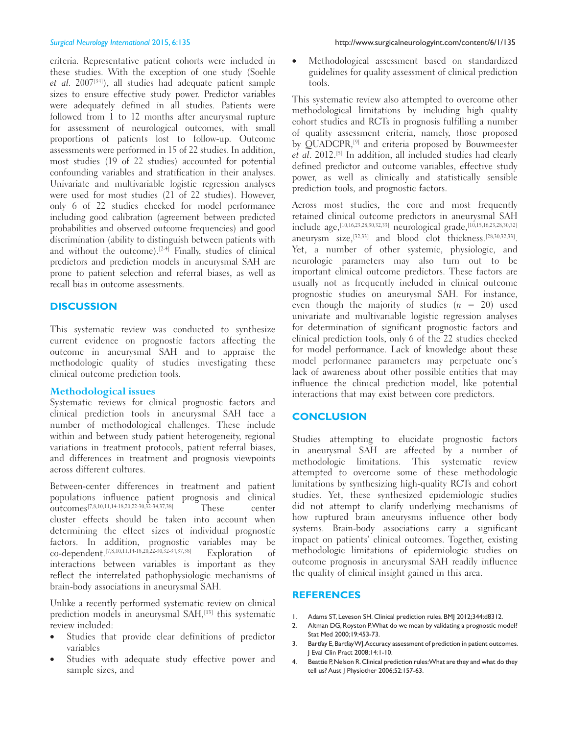criteria. Representative patient cohorts were included in these studies. With the exception of one study (Soehle et al. 2007<sup>[34]</sup>), all studies had adequate patient sample sizes to ensure effective study power. Predictor variables were adequately defined in all studies. Patients were followed from 1 to 12 months after aneurysmal rupture for assessment of neurological outcomes, with small proportions of patients lost to follow‑up. Outcome assessments were performed in 15 of 22 studies. In addition, most studies (19 of 22 studies) accounted for potential confounding variables and stratification in their analyses. Univariate and multivariable logistic regression analyses were used for most studies (21 of 22 studies). However, only 6 of 22 studies checked for model performance including good calibration (agreement between predicted probabilities and observed outcome frequencies) and good discrimination (ability to distinguish between patients with and without the outcome).<sup>[2-4]</sup> Finally, studies of clinical predictors and prediction models in aneurysmal SAH are prone to patient selection and referral biases, as well as recall bias in outcome assessments.

#### **DISCUSSION**

This systematic review was conducted to synthesize current evidence on prognostic factors affecting the outcome in aneurysmal SAH and to appraise the methodologic quality of studies investigating these clinical outcome prediction tools.

#### **Methodological issues**

Systematic reviews for clinical prognostic factors and clinical prediction tools in aneurysmal SAH face a number of methodological challenges. These include within and between study patient heterogeneity, regional variations in treatment protocols, patient referral biases, and differences in treatment and prognosis viewpoints across different cultures.

Between-center differences in treatment and patient populations influence patient prognosis and clinical outcomes[7,8,10,11,14‑18,20,22‑30,32‑34,37,38] These center cluster effects should be taken into account when determining the effect sizes of individual prognostic factors. In addition, prognostic variables may be co-dependent.<sup>[7,8,10,11,14-18,20,22-30,32-34,37,38]</sup> Exploration of interactions between variables is important as they reflect the interrelated pathophysiologic mechanisms of brain‑body associations in aneurysmal SAH.

Unlike a recently performed systematic review on clinical prediction models in aneurysmal SAH,<sup>[13]</sup> this systematic review included:

- Studies that provide clear definitions of predictor variables
- Studies with adequate study effective power and sample sizes, and

Methodological assessment based on standardized guidelines for quality assessment of clinical prediction tools.

This systematic review also attempted to overcome other methodological limitations by including high quality cohort studies and RCTs in prognosis fulfilling a number of quality assessment criteria, namely, those proposed by QUADCPR,[9] and criteria proposed by Bouwmeester et al. 2012.<sup>[5]</sup> In addition, all included studies had clearly defined predictor and outcome variables, effective study power, as well as clinically and statistically sensible prediction tools, and prognostic factors.

Across most studies, the core and most frequently retained clinical outcome predictors in aneurysmal SAH include age,[10,16,23,28,30,32,33] neurological grade,[10,15,16,23,28,30,32] aneurysm size,<sup>[32,33]</sup> and blood clot thickness.<sup>[28,30,32,33]</sup>. Yet, a number of other systemic, physiologic, and neurologic parameters may also turn out to be important clinical outcome predictors. These factors are usually not as frequently included in clinical outcome prognostic studies on aneurysmal SAH. For instance, even though the majority of studies  $(n = 20)$  used univariate and multivariable logistic regression analyses for determination of significant prognostic factors and clinical prediction tools, only 6 of the 22 studies checked for model performance. Lack of knowledge about these model performance parameters may perpetuate one's lack of awareness about other possible entities that may influence the clinical prediction model, like potential interactions that may exist between core predictors.

#### **CONCLUSION**

Studies attempting to elucidate prognostic factors in aneurysmal SAH are affected by a number of methodologic limitations. This systematic review attempted to overcome some of these methodologic limitations by synthesizing high‑quality RCTs and cohort studies. Yet, these synthesized epidemiologic studies did not attempt to clarify underlying mechanisms of how ruptured brain aneurysms influence other body systems. Brain‑body associations carry a significant impact on patients' clinical outcomes. Together, existing methodologic limitations of epidemiologic studies on outcome prognosis in aneurysmal SAH readily influence the quality of clinical insight gained in this area.

#### **REFERENCES**

- 1. Adams ST, Leveson SH. Clinical prediction rules. BMJ 2012;344:d8312.
- 2. Altman DG, Royston P.What do we mean by validating a prognostic model? Stat Med 2000;19:453-73.
- 3. Bartfay E, Bartfay WJ. Accuracy assessment of prediction in patient outcomes. J Eval Clin Pract 2008;14:1-10.
- 4. Beattie P, Nelson R. Clinical prediction rules: What are they and what do they tell us? Aust J Physiother 2006;52:157-63.